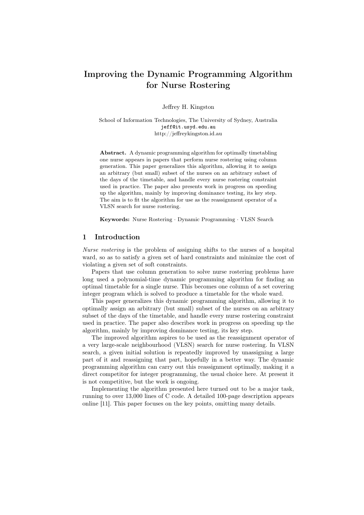# Improving the Dynamic Programming Algorithm for Nurse Rostering

Jeffrey H. Kingston

School of Information Technologies, The University of Sydney, Australia jeff@it.usyd.edu.au http://jeffreykingston.id.au

Abstract. A dynamic programming algorithm for optimally timetabling one nurse appears in papers that perform nurse rostering using column generation. This paper generalizes this algorithm, allowing it to assign an arbitrary (but small) subset of the nurses on an arbitrary subset of the days of the timetable, and handle every nurse rostering constraint used in practice. The paper also presents work in progress on speeding up the algorithm, mainly by improving dominance testing, its key step. The aim is to fit the algorithm for use as the reassignment operator of a VLSN search for nurse rostering.

Keywords: Nurse Rostering · Dynamic Programming · VLSN Search

## 1 Introduction

Nurse rostering is the problem of assigning shifts to the nurses of a hospital ward, so as to satisfy a given set of hard constraints and minimize the cost of violating a given set of soft constraints.

Papers that use column generation to solve nurse rostering problems have long used a polynomial-time dynamic programming algorithm for finding an optimal timetable for a single nurse. This becomes one column of a set covering integer program which is solved to produce a timetable for the whole ward.

This paper generalizes this dynamic programming algorithm, allowing it to optimally assign an arbitrary (but small) subset of the nurses on an arbitrary subset of the days of the timetable, and handle every nurse rostering constraint used in practice. The paper also describes work in progress on speeding up the algorithm, mainly by improving dominance testing, its key step.

The improved algorithm aspires to be used as the reassignment operator of a very large-scale neighbourhood (VLSN) search for nurse rostering. In VLSN search, a given initial solution is repeatedly improved by unassigning a large part of it and reassigning that part, hopefully in a better way. The dynamic programming algorithm can carry out this reassignment optimally, making it a direct competitor for integer programming, the usual choice here. At present it is not competitive, but the work is ongoing.

Implementing the algorithm presented here turned out to be a major task, running to over 13,000 lines of C code. A detailed 100-page description appears online [11]. This paper focuses on the key points, omitting many details.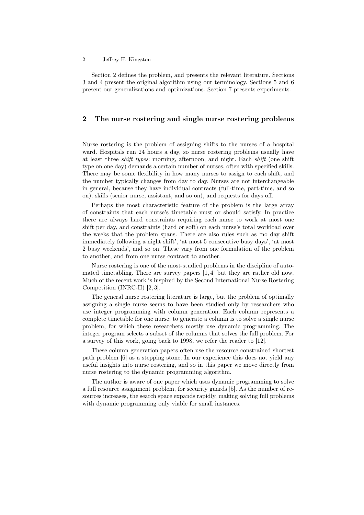Section 2 defines the problem, and presents the relevant literature. Sections 3 and 4 present the original algorithm using our terminology. Sections 5 and 6 present our generalizations and optimizations. Section 7 presents experiments.

## 2 The nurse rostering and single nurse rostering problems

Nurse rostering is the problem of assigning shifts to the nurses of a hospital ward. Hospitals run 24 hours a day, so nurse rostering problems usually have at least three shift types: morning, afternoon, and night. Each shift (one shift type on one day) demands a certain number of nurses, often with specified skills. There may be some flexibility in how many nurses to assign to each shift, and the number typically changes from day to day. Nurses are not interchangeable in general, because they have individual contracts (full-time, part-time, and so on), skills (senior nurse, assistant, and so on), and requests for days off.

Perhaps the most characteristic feature of the problem is the large array of constraints that each nurse's timetable must or should satisfy. In practice there are always hard constraints requiring each nurse to work at most one shift per day, and constraints (hard or soft) on each nurse's total workload over the weeks that the problem spans. There are also rules such as 'no day shift immediately following a night shift', 'at most 5 consecutive busy days', 'at most 2 busy weekends', and so on. These vary from one formulation of the problem to another, and from one nurse contract to another.

Nurse rostering is one of the most-studied problems in the discipline of automated timetabling. There are survey papers [1, 4] but they are rather old now. Much of the recent work is inspired by the Second International Nurse Rostering Competition (INRC-II) [2, 3].

The general nurse rostering literature is large, but the problem of optimally assigning a single nurse seems to have been studied only by researchers who use integer programming with column generation. Each column represents a complete timetable for one nurse; to generate a column is to solve a single nurse problem, for which these researchers mostly use dynamic programming. The integer program selects a subset of the columns that solves the full problem. For a survey of this work, going back to 1998, we refer the reader to [12].

These column generation papers often use the resource constrained shortest path problem [6] as a stepping stone. In our experience this does not yield any useful insights into nurse rostering, and so in this paper we move directly from nurse rostering to the dynamic programming algorithm.

The author is aware of one paper which uses dynamic programming to solve a full resource assignment problem, for security guards [5]. As the number of resources increases, the search space expands rapidly, making solving full problems with dynamic programming only viable for small instances.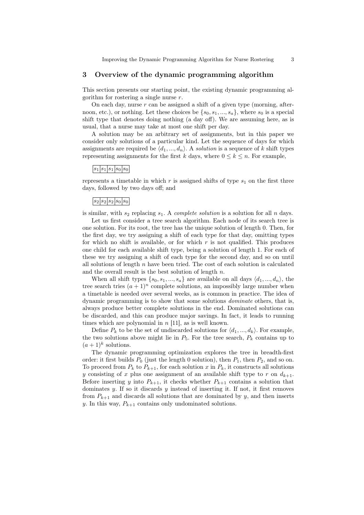## 3 Overview of the dynamic programming algorithm

This section presents our starting point, the existing dynamic programming algorithm for rostering a single nurse  $r$ .

On each day, nurse  $r$  can be assigned a shift of a given type (morning, afternoon, etc.), or nothing. Let these choices be  $\{s_0, s_1, ..., s_a\}$ , where  $s_0$  is a special shift type that denotes doing nothing (a day off). We are assuming here, as is usual, that a nurse may take at most one shift per day.

A solution may be an arbitrary set of assignments, but in this paper we consider only solutions of a particular kind. Let the sequence of days for which assignments are required be  $\langle d_1, ..., d_n \rangle$ . A solution is a sequence of k shift types representing assignments for the first k days, where  $0 \leq k \leq n$ . For example,

## $|s_1|s_1|s_0|s_0$

represents a timetable in which  $r$  is assigned shifts of type  $s<sub>1</sub>$  on the first three days, followed by two days off; and

## $|s_2|s_2|s_0|s_0|s_0|$

is similar, with  $s_2$  replacing  $s_1$ . A *complete solution* is a solution for all n days.

Let us first consider a tree search algorithm. Each node of its search tree is one solution. For its root, the tree has the unique solution of length 0. Then, for the first day, we try assigning a shift of each type for that day, omitting types for which no shift is available, or for which  $r$  is not qualified. This produces one child for each available shift type, being a solution of length 1. For each of these we try assigning a shift of each type for the second day, and so on until all solutions of length  $n$  have been tried. The cost of each solution is calculated and the overall result is the best solution of length  $n$ .

When all shift types  $\{s_0, s_1, ..., s_n\}$  are available on all days  $\langle d_1, ..., d_n \rangle$ , the tree search tries  $(a+1)^n$  complete solutions, an impossibly large number when a timetable is needed over several weeks, as is common in practice. The idea of dynamic programming is to show that some solutions dominate others, that is, always produce better complete solutions in the end. Dominated solutions can be discarded, and this can produce major savings. In fact, it leads to running times which are polynomial in  $n$  [11], as is well known.

Define  $P_k$  to be the set of undiscarded solutions for  $\langle d_1, ..., d_k \rangle$ . For example, the two solutions above might lie in  $P_5$ . For the tree search,  $P_k$  contains up to  $(a+1)^k$  solutions.

The dynamic programming optimization explores the tree in breadth-first order: it first builds  $P_0$  (just the length 0 solution), then  $P_1$ , then  $P_2$ , and so on. To proceed from  $P_k$  to  $P_{k+1}$ , for each solution x in  $P_k$ , it constructs all solutions y consisting of x plus one assignment of an available shift type to r on  $d_{k+1}$ . Before inserting y into  $P_{k+1}$ , it checks whether  $P_{k+1}$  contains a solution that dominates  $y$ . If so it discards  $y$  instead of inserting it. If not, it first removes from  $P_{k+1}$  and discards all solutions that are dominated by y, and then inserts y. In this way,  $P_{k+1}$  contains only undominated solutions.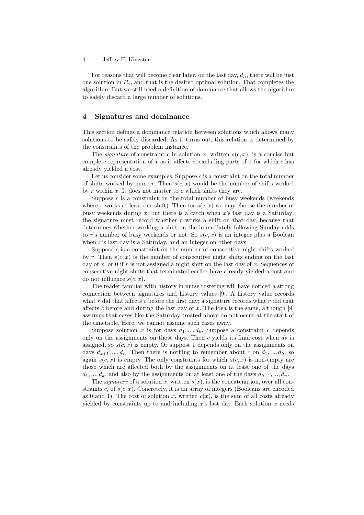For reasons that will become clear later, on the last day,  $d_n$ , there will be just one solution in  $P_n$ , and that is the desired optimal solution. That completes the algorithm. But we still need a definition of dominance that allows the algorithm to safely discard a large number of solutions.

### 4 Signatures and dominance

This section defines a dominance relation between solutions which allows many solutions to be safely discarded. As it turns out, this relation is determined by the constraints of the problem instance.

The *signature* of constraint c in solution x, written  $s(c, x)$ , is a concise but complete representation of x as it affects c, excluding parts of x for which c has already yielded a cost.

Let us consider some examples. Suppose  $c$  is a constraint on the total number of shifts worked by nurse r. Then  $s(c, x)$  would be the number of shifts worked by  $r$  within  $x$ . It does not matter to  $c$  which shifts they are.

Suppose  $c$  is a constraint on the total number of busy weekends (weekends where r works at least one shift). Then for  $s(c, x)$  we may choose the number of busy weekends during x, but there is a catch when x's last day is a Saturday: the signature must record whether  $r$  works a shift on that day, because that determines whether working a shift on the immediately following Sunday adds to r's number of busy weekends or not. So  $s(c, x)$  is an integer plus a Boolean when x's last day is a Saturday, and an integer on other days.

Suppose  $c$  is a constraint on the number of consecutive night shifts worked by r. Then  $s(c, x)$  is the number of consecutive night shifts ending on the last day of  $x$ , or 0 if  $r$  is not assigned a night shift on the last day of  $x$ . Sequences of consecutive night shifts that terminated earlier have already yielded a cost and do not influence  $s(c, x)$ .

The reader familiar with history in nurse rostering will have noticed a strong connection between signatures and history values [9]. A history value records what  $r$  did that affects  $c$  before the first day; a signature records what  $r$  did that affects c before and during the last day of x. The idea is the same, although  $[9]$ assumes that cases like the Saturday treated above do not occur at the start of the timetable. Here, we cannot assume such cases away.

Suppose solution x is for days  $d_1, ..., d_k$ . Suppose a constraint c depends only on the assignments on those days. Then c yields its final cost when  $d_k$  is assigned, so  $s(c, x)$  is empty. Or suppose c depends only on the assignments on days  $d_{k+1},...,d_n$ . Then there is nothing to remember about c on  $d_1,...,d_k$ , so again  $s(c, x)$  is empty. The only constraints for which  $s(c, x)$  is non-empty are those which are affected both by the assignments on at least one of the days  $d_1, ..., d_k$ , and also by the assignments on at least one of the days  $d_{k+1}, ..., d_n$ .

The *signature* of a solution x, written  $s(x)$ , is the concatenation, over all constraints c, of  $s(c, x)$ . Concretely, it is an array of integers (Booleans are encoded as 0 and 1). The cost of solution x, written  $c(x)$ , is the sum of all costs already yielded by constraints up to and including x's last day. Each solution x needs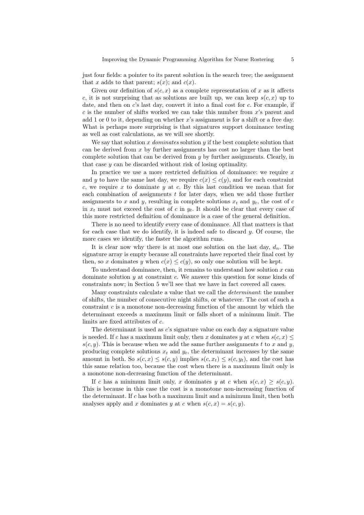just four fields: a pointer to its parent solution in the search tree; the assignment that x adds to that parent;  $s(x)$ ; and  $c(x)$ .

Given our definition of  $s(c, x)$  as a complete representation of x as it affects c, it is not surprising that as solutions are built up, we can keep  $s(c, x)$  up to date, and then on  $c$ 's last day, convert it into a final cost for  $c$ . For example, if  $c$  is the number of shifts worked we can take this number from  $x$ 's parent and add 1 or 0 to it, depending on whether  $x$ 's assignment is for a shift or a free day. What is perhaps more surprising is that signatures support dominance testing as well as cost calculations, as we will see shortly.

We say that solution x dominates solution y if the best complete solution that can be derived from  $x$  by further assignments has cost no larger than the best complete solution that can be derived from y by further assignments. Clearly, in that case  $y$  can be discarded without risk of losing optimality.

In practice we use a more restricted definition of dominance: we require  $x$ and y to have the same last day, we require  $c(x) \leq c(y)$ , and for each constraint c, we require x to dominate y at c. By this last condition we mean that for each combination of assignments  $t$  for later days, when we add those further assignments to x and y, resulting in complete solutions  $x_t$  and  $y_t$ , the cost of c in  $x_t$  must not exceed the cost of c in  $y_t$ . It should be clear that every case of this more restricted definition of dominance is a case of the general definition.

There is no need to identify every case of dominance. All that matters is that for each case that we do identify, it is indeed safe to discard  $y$ . Of course, the more cases we identify, the faster the algorithm runs.

It is clear now why there is at most one solution on the last day,  $d_n$ . The signature array is empty because all constraints have reported their final cost by then, so x dominates y when  $c(x) \leq c(y)$ , so only one solution will be kept.

To understand dominance, then, it remains to understand how solution  $x$  can dominate solution  $y$  at constraint  $c$ . We answer this question for some kinds of constraints now; in Section 5 we'll see that we have in fact covered all cases.

Many constraints calculate a value that we call the determinant: the number of shifts, the number of consecutive night shifts, or whatever. The cost of such a constraint  $c$  is a monotone non-decreasing function of the amount by which the determinant exceeds a maximum limit or falls short of a minimum limit. The limits are fixed attributes of c.

The determinant is used as c's signature value on each day a signature value is needed. If c has a maximum limit only, then x dominates y at c when  $s(c, x) \leq$  $s(c, y)$ . This is because when we add the same further assignments t to x and y, producing complete solutions  $x_t$  and  $y_t$ , the determinant increases by the same amount in both. So  $s(c, x) \leq s(c, y)$  implies  $s(c, x_t) \leq s(c, y_t)$ , and the cost has this same relation too, because the cost when there is a maximum limit only is a monotone non-decreasing function of the determinant.

If c has a minimum limit only, x dominates y at c when  $s(c, x) > s(c, y)$ . This is because in this case the cost is a monotone non-increasing function of the determinant. If c has both a maximum limit and a minimum limit, then both analyses apply and x dominates y at c when  $s(c, x) = s(c, y)$ .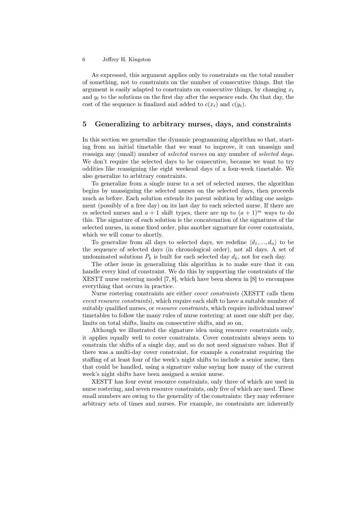As expressed, this argument applies only to constraints on the total number of something, not to constraints on the number of consecutive things. But the argument is easily adapted to constraints on consecutive things, by changing  $x_t$ and  $y_t$  to the solutions on the first day after the sequence ends. On that day, the cost of the sequence is finalized and added to  $c(x_t)$  and  $c(y_t)$ .

## 5 Generalizing to arbitrary nurses, days, and constraints

In this section we generalize the dynamic programming algorithm so that, starting from an initial timetable that we want to improve, it can unassign and reassign any (small) number of selected nurses on any number of selected days. We don't require the selected days to be consecutive, because we want to try oddities like reassigning the eight weekend days of a four-week timetable. We also generalize to arbitrary constraints.

To generalize from a single nurse to a set of selected nurses, the algorithm begins by unassigning the selected nurses on the selected days, then proceeds much as before. Each solution extends its parent solution by adding one assignment (possibly of a free day) on its last day to each selected nurse. If there are m selected nurses and  $a + 1$  shift types, there are up to  $(a + 1)^m$  ways to do this. The signature of each solution is the concatenation of the signatures of the selected nurses, in some fixed order, plus another signature for cover constraints, which we will come to shortly.

To generalize from all days to selected days, we redefine  $\langle d_1, ..., d_n \rangle$  to be the sequence of selected days (in chronological order), not all days. A set of undominated solutions  $P_k$  is built for each selected day  $d_k$ , not for each day.

The other issue in generalizing this algorithm is to make sure that it can handle every kind of constraint. We do this by supporting the constraints of the XESTT nurse rostering model [7, 8], which have been shown in [8] to encompass everything that occurs in practice.

Nurse rostering constraints are either cover constraints (XESTT calls them event resource constraints), which require each shift to have a suitable number of suitably qualified nurses, or *resource constraints*, which require individual nurses' timetables to follow the many rules of nurse rostering: at most one shift per day, limits on total shifts, limits on consecutive shifts, and so on.

Although we illustrated the signature idea using resource constraints only, it applies equally well to cover constraints. Cover constraints always seem to constrain the shifts of a single day, and so do not need signature values. But if there was a multi-day cover constraint, for example a constraint requiring the staffing of at least four of the week's night shifts to include a senior nurse, then that could be handled, using a signature value saying how many of the current week's night shifts have been assigned a senior nurse.

XESTT has four event resource constraints, only three of which are used in nurse rostering, and seven resource constraints, only five of which are used. These small numbers are owing to the generality of the constraints: they may reference arbitrary sets of times and nurses. For example, no constraints are inherently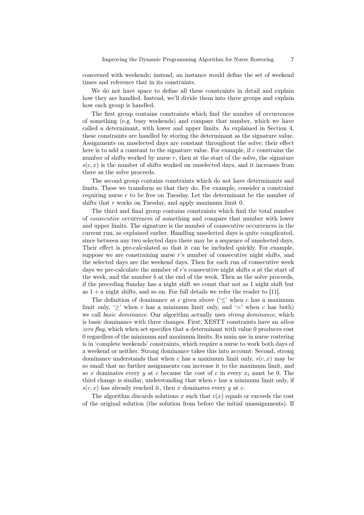concerned with weekends; instead, an instance would define the set of weekend times and reference that in its constraints.

We do not have space to define all these constraints in detail and explain how they are handled. Instead, we'll divide them into three groups and explain how each group is handled.

The first group contains constraints which find the number of occurrences of something (e.g. busy weekends) and compare that number, which we have called a determinant, with lower and upper limits. As explained in Section 4, these constraints are handled by storing the determinant as the signature value. Assignments on unselected days are constant throughout the solve; their effect here is to add a constant to the signature value. For example, if c constrains the number of shifts worked by nurse  $r$ , then at the start of the solve, the signature  $s(c, x)$  is the number of shifts worked on unselected days, and it increases from there as the solve proceeds.

The second group contains constraints which do not have determinants and limits. These we transform so that they do. For example, consider a constraint requiring nurse r to be free on Tuesday. Let the determinant be the number of shifts that r works on Tuesday, and apply maximum limit 0.

The third and final group contains constraints which find the total number of consecutive occurrences of something and compare that number with lower and upper limits. The signature is the number of consecutive occurrences in the current run, as explained earlier. Handling unselected days is quite complicated, since between any two selected days there may be a sequence of unselected days. Their effect is pre-calculated so that it can be included quickly. For example, suppose we are constraining nurse  $r$ 's number of consecutive night shifts, and the selected days are the weekend days. Then for each run of consecutive week days we pre-calculate the number of r's consecutive night shifts a at the start of the week, and the number  $b$  at the end of the week. Then as the solve proceeds, if the preceding Sunday has a night shift we count that not as 1 night shift but as  $1 + a$  night shifts, and so on. For full details we refer the reader to [11].

The definition of dominance at c given above  $(\leq)$  when c has a maximum limit only, ' $>$ ' when c has a minimum limit only, and '=' when c has both) we call basic dominance. Our algorithm actually uses strong dominance, which is basic dominance with three changes. First, XESTT constraints have an allow zero flag, which when set specifies that a determinant with value 0 produces cost 0 regardless of the minimum and maximum limits. Its main use in nurse rostering is in 'complete weekends' constraints, which require a nurse to work both days of a weekend or neither. Strong dominance takes this into account. Second, strong dominance understands that when c has a maximum limit only,  $s(c, x)$  may be so small that no further assignments can increase it to the maximum limit, and so x dominates every y at c because the cost of c in every  $x_t$  must be 0. The third change is similar, understanding that when  $c$  has a minimum limit only, if  $s(c, x)$  has already reached it, then x dominates every y at c.

The algorithm discards solutions x such that  $c(x)$  equals or exceeds the cost of the original solution (the solution from before the initial unassignments). If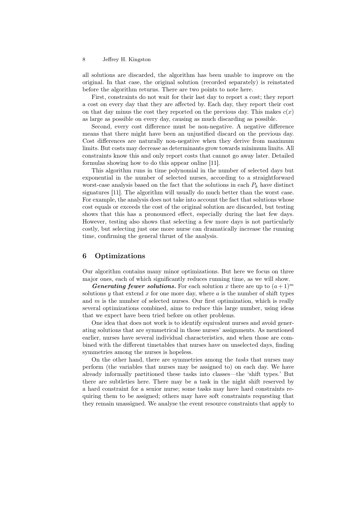all solutions are discarded, the algorithm has been unable to improve on the original. In that case, the original solution (recorded separately) is reinstated before the algorithm returns. There are two points to note here.

First, constraints do not wait for their last day to report a cost; they report a cost on every day that they are affected by. Each day, they report their cost on that day minus the cost they reported on the previous day. This makes  $c(x)$ as large as possible on every day, causing as much discarding as possible.

Second, every cost difference must be non-negative. A negative difference means that there might have been an unjustified discard on the previous day. Cost differences are naturally non-negative when they derive from maximum limits. But costs may decrease as determinants grow towards minimum limits. All constraints know this and only report costs that cannot go away later. Detailed formulas showing how to do this appear online [11].

This algorithm runs in time polynomial in the number of selected days but exponential in the number of selected nurses, according to a straightforward worst-case analysis based on the fact that the solutions in each  $P_k$  have distinct signatures [11]. The algorithm will usually do much better than the worst case. For example, the analysis does not take into account the fact that solutions whose cost equals or exceeds the cost of the original solution are discarded, but testing shows that this has a pronounced effect, especially during the last few days. However, testing also shows that selecting a few more days is not particularly costly, but selecting just one more nurse can dramatically increase the running time, confirming the general thrust of the analysis.

## 6 Optimizations

Our algorithm contains many minor optimizations. But here we focus on three major ones, each of which significantly reduces running time, as we will show.

**Generating fewer solutions.** For each solution x there are up to  $(a+1)^m$ solutions  $y$  that extend  $x$  for one more day, where  $a$  is the number of shift types and  $m$  is the number of selected nurses. Our first optimization, which is really several optimizations combined, aims to reduce this large number, using ideas that we expect have been tried before on other problems.

One idea that does not work is to identify equivalent nurses and avoid generating solutions that are symmetrical in those nurses' assignments. As mentioned earlier, nurses have several individual characteristics, and when those are combined with the different timetables that nurses have on unselected days, finding symmetries among the nurses is hopeless.

On the other hand, there are symmetries among the tasks that nurses may perform (the variables that nurses may be assigned to) on each day. We have already informally partitioned these tasks into classes—the 'shift types.' But there are subtleties here. There may be a task in the night shift reserved by a hard constraint for a senior nurse; some tasks may have hard constraints requiring them to be assigned; others may have soft constraints requesting that they remain unassigned. We analyse the event resource constraints that apply to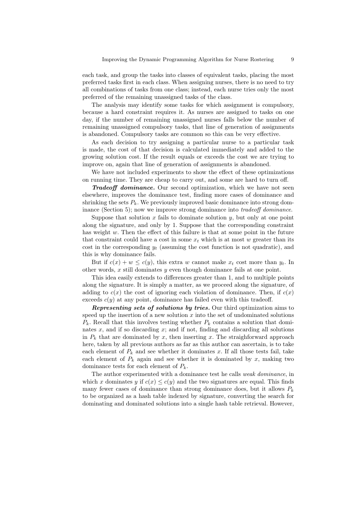each task, and group the tasks into classes of equivalent tasks, placing the most preferred tasks first in each class. When assigning nurses, there is no need to try all combinations of tasks from one class; instead, each nurse tries only the most preferred of the remaining unassigned tasks of the class.

The analysis may identify some tasks for which assignment is compulsory, because a hard constraint requires it. As nurses are assigned to tasks on one day, if the number of remaining unassigned nurses falls below the number of remaining unassigned compulsory tasks, that line of generation of assignments is abandoned. Compulsory tasks are common so this can be very effective.

As each decision to try assigning a particular nurse to a particular task is made, the cost of that decision is calculated immediately and added to the growing solution cost. If the result equals or exceeds the cost we are trying to improve on, again that line of generation of assignments is abandoned.

We have not included experiments to show the effect of these optimizations on running time. They are cheap to carry out, and some are hard to turn off.

Tradeoff dominance. Our second optimization, which we have not seen elsewhere, improves the dominance test, finding more cases of dominance and shrinking the sets  $P_k$ . We previously improved basic dominance into strong dominance (Section 5); now we improve strong dominance into tradeoff dominance.

Suppose that solution  $x$  fails to dominate solution  $y$ , but only at one point along the signature, and only by 1. Suppose that the corresponding constraint has weight  $w$ . Then the effect of this failure is that at some point in the future that constraint could have a cost in some  $x_t$  which is at most w greater than its cost in the corresponding  $y_t$  (assuming the cost function is not quadratic), and this is why dominance fails.

But if  $c(x) + w \leq c(y)$ , this extra w cannot make  $x_t$  cost more than  $y_t$ . In other words,  $x$  still dominates  $y$  even though dominance fails at one point.

This idea easily extends to differences greater than 1, and to multiple points along the signature. It is simply a matter, as we proceed along the signature, of adding to  $c(x)$  the cost of ignoring each violation of dominance. Then, if  $c(x)$ exceeds  $c(y)$  at any point, dominance has failed even with this tradeoff.

Representing sets of solutions by tries. Our third optimization aims to speed up the insertion of a new solution  $x$  into the set of undominated solutions  $P_k$ . Recall that this involves testing whether  $P_k$  contains a solution that dominates  $x$ , and if so discarding  $x$ ; and if not, finding and discarding all solutions in  $P_k$  that are dominated by x, then inserting x. The straighforward approach here, taken by all previous authors as far as this author can ascertain, is to take each element of  $P_k$  and see whether it dominates x. If all those tests fail, take each element of  $P_k$  again and see whether it is dominated by x, making two dominance tests for each element of  $P_k$ .

The author experimented with a dominance test he calls weak dominance, in which x dominates y if  $c(x) \leq c(y)$  and the two signatures are equal. This finds many fewer cases of dominance than strong dominance does, but it allows  $P_k$ to be organized as a hash table indexed by signature, converting the search for dominating and dominated solutions into a single hash table retrieval. However,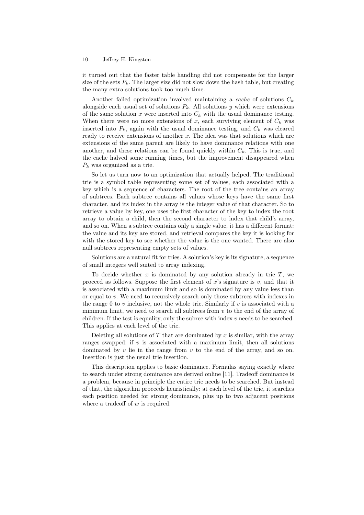it turned out that the faster table handling did not compensate for the larger size of the sets  $P_k$ . The larger size did not slow down the hash table, but creating the many extra solutions took too much time.

Another failed optimization involved maintaining a *cache* of solutions  $C_k$ alongside each usual set of solutions  $P_k$ . All solutions y which were extensions of the same solution  $x$  were inserted into  $C_k$  with the usual dominance testing. When there were no more extensions of x, each surviving element of  $C_k$  was inserted into  $P_k$ , again with the usual dominance testing, and  $C_k$  was cleared ready to receive extensions of another  $x$ . The idea was that solutions which are extensions of the same parent are likely to have dominance relations with one another, and these relations can be found quickly within  $C_k$ . This is true, and the cache halved some running times, but the improvement disappeared when  $P_k$  was organized as a trie.

So let us turn now to an optimization that actually helped. The traditional trie is a symbol table representing some set of values, each associated with a key which is a sequence of characters. The root of the tree contains an array of subtrees. Each subtree contains all values whose keys have the same first character, and its index in the array is the integer value of that character. So to retrieve a value by key, one uses the first character of the key to index the root array to obtain a child, then the second character to index that child's array, and so on. When a subtree contains only a single value, it has a different format: the value and its key are stored, and retrieval compares the key it is looking for with the stored key to see whether the value is the one wanted. There are also null subtrees representing empty sets of values.

Solutions are a natural fit for tries. A solution's key is its signature, a sequence of small integers well suited to array indexing.

To decide whether  $x$  is dominated by any solution already in trie  $T$ , we proceed as follows. Suppose the first element of  $x$ 's signature is  $v$ , and that it is associated with a maximum limit and so is dominated by any value less than or equal to v. We need to recursively search only those subtrees with indexes in the range 0 to  $v$  inclusive, not the whole trie. Similarly if  $v$  is associated with a minimum limit, we need to search all subtrees from  $v$  to the end of the array of children. If the test is equality, only the subree with index  $v$  needs to be searched. This applies at each level of the trie.

Deleting all solutions of  $T$  that are dominated by  $x$  is similar, with the array ranges swapped: if  $v$  is associated with a maximum limit, then all solutions dominated by  $v$  lie in the range from  $v$  to the end of the array, and so on. Insertion is just the usual trie insertion.

This description applies to basic dominance. Formulas saying exactly where to search under strong dominance are derived online [11]. Tradeoff dominance is a problem, because in principle the entire trie needs to be searched. But instead of that, the algorithm proceeds heuristically: at each level of the trie, it searches each position needed for strong dominance, plus up to two adjacent positions where a tradeoff of  $w$  is required.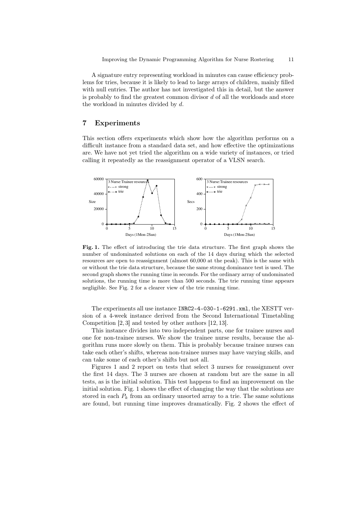A signature entry representing workload in minutes can cause efficiency problems for tries, because it is likely to lead to large arrays of children, mainly filled with null entries. The author has not investigated this in detail, but the answer is probably to find the greatest common divisor  $d$  of all the workloads and store the workload in minutes divided by d.

## 7 Experiments

This section offers experiments which show how the algorithm performs on a difficult instance from a standard data set, and how effective the optimizations are. We have not yet tried the algorithm on a wide variety of instances, or tried calling it repeatedly as the reassignment operator of a VLSN search.



Fig. 1. The effect of introducing the trie data structure. The first graph shows the number of undominated solutions on each of the 14 days during which the selected resources are open to reassignment (almost 60,000 at the peak). This is the same with or without the trie data structure, because the same strong dominance test is used. The second graph shows the running time in seconds. For the ordinary array of undominated solutions, the running time is more than 500 seconds. The trie running time appears negligible. See Fig. 2 for a clearer view of the trie running time.

The experiments all use instance INRC2-4-030-1-6291.xml, the XESTT version of a 4-week instance derived from the Second International Timetabling Competition [2, 3] and tested by other authors [12, 13].

This instance divides into two independent parts, one for trainee nurses and one for non-trainee nurses. We show the trainee nurse results, because the algorithm runs more slowly on them. This is probably because trainee nurses can take each other's shifts, whereas non-trainee nurses may have varying skills, and can take some of each other's shifts but not all.

Figures 1 and 2 report on tests that select 3 nurses for reassignment over the first 14 days. The 3 nurses are chosen at random but are the same in all tests, as is the initial solution. This test happens to find an improvement on the initial solution. Fig. 1 shows the effect of changing the way that the solutions are stored in each  $P_k$  from an ordinary unsorted array to a trie. The same solutions are found, but running time improves dramatically. Fig. 2 shows the effect of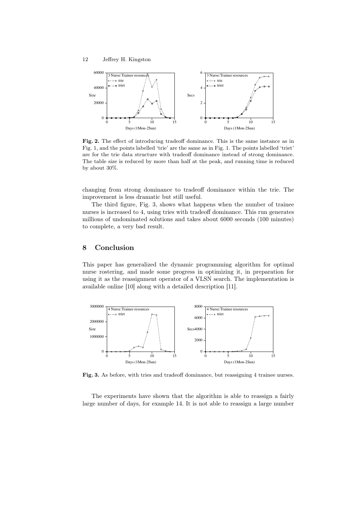

Fig. 2. The effect of introducing tradeoff dominance. This is the same instance as in Fig. 1, and the points labelled 'trie' are the same as in Fig. 1. The points labelled 'triet' are for the trie data structure with tradeoff dominance instead of strong dominance. The table size is reduced by more than half at the peak, and running time is reduced by about 30%.

changing from strong dominance to tradeoff dominance within the trie. The improvement is less dramatic but still useful.

The third figure, Fig. 3, shows what happens when the number of trainee nurses is increased to 4, using tries with tradeoff dominance. This run generates millions of undominated solutions and takes about 6000 seconds (100 minutes) to complete, a very bad result.

## 8 Conclusion

This paper has generalized the dynamic programming algorithm for optimal nurse rostering, and made some progress in optimizing it, in preparation for using it as the reassignment operator of a VLSN search. The implementation is available online [10] along with a detailed description [11].



Fig. 3. As before, with tries and tradeoff dominance, but reassigning 4 trainee nurses.

The experiments have shown that the algorithm is able to reassign a fairly large number of days, for example 14. It is not able to reassign a large number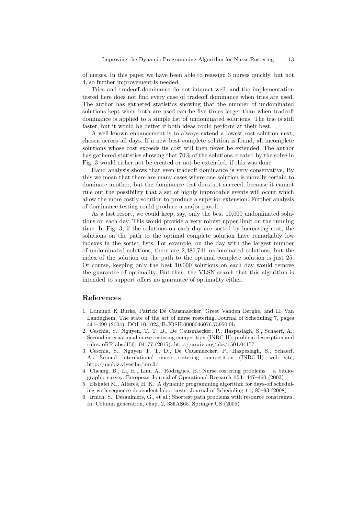of nurses. In this paper we have been able to reassign 3 nurses quickly, but not 4, so further improvement is needed.

Tries and tradeoff dominance do not interact well, and the implementation tested here does not find every case of tradeoff dominance when tries are used. The author has gathered statistics showing that the number of undominated solutions kept when both are used can be five times larger than when tradeoff dominance is applied to a simple list of undominated solutions. The trie is still faster, but it would be better if both ideas could perform at their best.

A well-known enhancement is to always extend a lowest cost solution next, chosen across all days. If a new best complete solution is found, all incomplete solutions whose cost exceeds its cost will then never be extended. The author has gathered statistics showing that 70% of the solutions created by the solve in Fig. 3 would either not be created or not be extended, if this was done.

Hand analysis shows that even tradeoff dominance is very conservative. By this we mean that there are many cases where one solution is morally certain to dominate another, but the dominance test does not succeed, because it cannot rule out the possibility that a set of highly improbable events will occur which allow the more costly solution to produce a superior extension. Further analysis of dominance testing could produce a major payoff.

As a last resort, we could keep, say, only the best 10,000 undominated solutions on each day. This would provide a very robust upper limit on the running time. In Fig. 3, if the solutions on each day are sorted by increasing cost, the solutions on the path to the optimal complete solution have remarkably low indexes in the sorted lists. For example, on the day with the largest number of undominated solutions, there are 2,486,741 undominated solutions, but the index of the solution on the path to the optimal complete solution is just 25. Of course, keeping only the best 10,000 solutions on each day would remove the guarantee of optimality. But then, the VLSN search that this algorithm is intended to support offers no guarantee of optimality either.

### References

- 1. Edmund K Burke, Patrick De Causmaecker, Greet Vanden Berghe, and H. Van Landeghem, The state of the art of nurse rostering, Journal of Scheduling 7, pages 441–499 (2004). DOI 10.1023/B:JOSH.0000046076.75950.0b
- 2. Ceschia, S., Nguyen, T. T. D., De Causmaecker, P., Haspeslagh, S., Schaerf, A.: Second international nurse rostering competition (INRC-II), problem description and rules. oRR abs/1501.04177 (2015). http://arxiv.org/abs/1501.04177
- 3. Ceschia, S., Nguyen T. T. D., De Causmaecker, P., Haspeslagh, S., Schaerf, A.: Second international nurse rostering competition (INRC-II) web site, http://mobiz.vives.be/inrc2/
- 4. Cheang, B., Li, H., Lim, A., Rodrigues, B.: Nurse rostering problems a bibliographic survey. European Journal of Operational Research 151, 447–460 (2003)
- 5. Elshafei M., Alfares, H. K.: A dynamic programming algorithm for days-off scheduling with sequence dependent labor costs. Journal of Scheduling 11, 85–93 (2008)
- 6. Irnich, S., Desaulniers, G., et al.: Shortest path problems with resource constraints. In: Column generation, chap. 2, 33âĂŞ65. Springer US (2005)